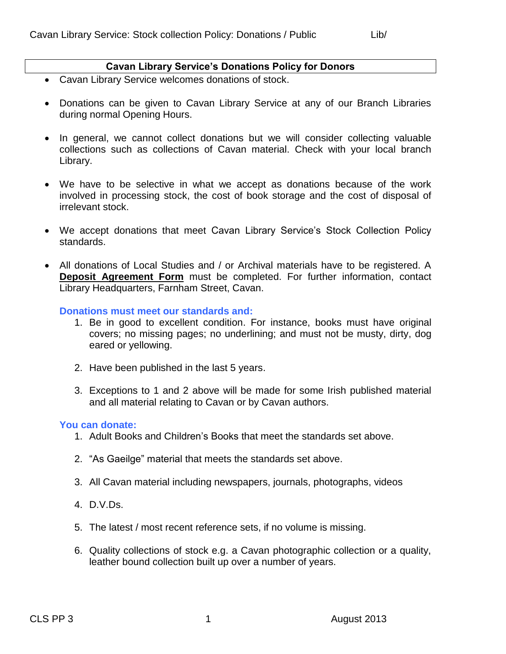# **Cavan Library Service's Donations Policy for Donors**

- Cavan Library Service welcomes donations of stock.
- Donations can be given to Cavan Library Service at any of our Branch Libraries during normal Opening Hours.
- In general, we cannot collect donations but we will consider collecting valuable collections such as collections of Cavan material. Check with your local branch Library.
- We have to be selective in what we accept as donations because of the work involved in processing stock, the cost of book storage and the cost of disposal of irrelevant stock.
- We accept donations that meet Cavan Library Service's Stock Collection Policy standards.
- All donations of Local Studies and / or Archival materials have to be registered. A **Deposit Agreement Form** must be completed. For further information, contact Library Headquarters, Farnham Street, Cavan.

**Donations must meet our standards and:**

- 1. Be in good to excellent condition. For instance, books must have original covers; no missing pages; no underlining; and must not be musty, dirty, dog eared or yellowing.
- 2. Have been published in the last 5 years.
- 3. Exceptions to 1 and 2 above will be made for some Irish published material and all material relating to Cavan or by Cavan authors.

## **You can donate:**

- 1. Adult Books and Children's Books that meet the standards set above.
- 2. "As Gaeilge" material that meets the standards set above.
- 3. All Cavan material including newspapers, journals, photographs, videos
- 4. D.V.Ds.
- 5. The latest / most recent reference sets, if no volume is missing.
- 6. Quality collections of stock e.g. a Cavan photographic collection or a quality, leather bound collection built up over a number of years.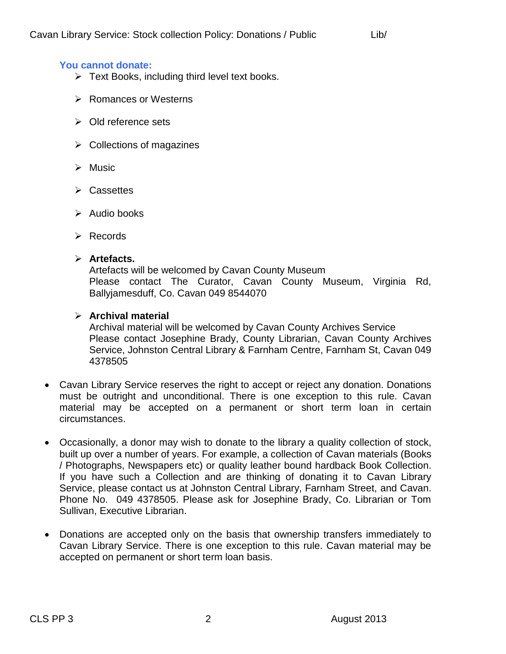# **You cannot donate:**

- $\triangleright$  Text Books, including third level text books.
- **EXA Romances or Westerns**
- **▶ Old reference sets**
- $\triangleright$  Collections of magazines
- $\triangleright$  Music
- $\triangleright$  Cassettes
- $\triangleright$  Audio books
- $\triangleright$  Records

## **Artefacts.**

Artefacts will be welcomed by Cavan County Museum Please contact The Curator, Cavan County Museum, Virginia Rd, Ballyjamesduff, Co. Cavan 049 8544070

# **Archival material**

Archival material will be welcomed by Cavan County Archives Service Please contact Josephine Brady, County Librarian, Cavan County Archives Service, Johnston Central Library & Farnham Centre, Farnham St, Cavan 049 4378505

- Cavan Library Service reserves the right to accept or reject any donation. Donations must be outright and unconditional. There is one exception to this rule. Cavan material may be accepted on a permanent or short term loan in certain circumstances.
- Occasionally, a donor may wish to donate to the library a quality collection of stock, built up over a number of years. For example, a collection of Cavan materials (Books / Photographs, Newspapers etc) or quality leather bound hardback Book Collection. If you have such a Collection and are thinking of donating it to Cavan Library Service, please contact us at Johnston Central Library, Farnham Street, and Cavan. Phone No. 049 4378505. Please ask for Josephine Brady, Co. Librarian or Tom Sullivan, Executive Librarian.
- Donations are accepted only on the basis that ownership transfers immediately to Cavan Library Service. There is one exception to this rule. Cavan material may be accepted on permanent or short term loan basis.